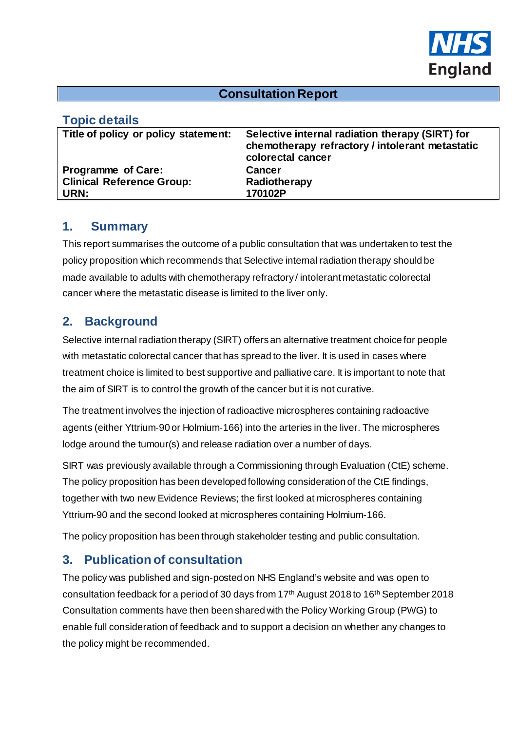

#### **Consultation Report**

#### **Topic details**

| .                                    |                                                                                                                         |
|--------------------------------------|-------------------------------------------------------------------------------------------------------------------------|
| Title of policy or policy statement: | Selective internal radiation therapy (SIRT) for<br>chemotherapy refractory / intolerant metastatic<br>colorectal cancer |
| Programme of Care:                   | Cancer                                                                                                                  |
| <b>Clinical Reference Group:</b>     | Radiotherapy                                                                                                            |
| URN:                                 | 170102P                                                                                                                 |
|                                      |                                                                                                                         |

#### **1. Summary**

This report summarises the outcome of a public consultation that was undertaken to test the policy proposition which recommends that Selective internal radiation therapy should be made available to adults with chemotherapy refractory / intolerant metastatic colorectal cancer where the metastatic disease is limited to the liver only.

## **2. Background**

Selective internal radiation therapy (SIRT) offers an alternative treatment choice for people with metastatic colorectal cancer that has spread to the liver. It is used in cases where treatment choice is limited to best supportive and palliative care. It is important to note that the aim of SIRT is to control the growth of the cancer but it is not curative.

The treatment involves the injection of radioactive microspheres containing radioactive agents (either Yttrium-90 or Holmium-166) into the arteries in the liver. The microspheres lodge around the tumour(s) and release radiation over a number of days.

SIRT was previously available through a Commissioning through Evaluation (CtE) scheme. The policy proposition has been developed following consideration of the CtE findings, together with two new Evidence Reviews; the first looked at microspheres containing Yttrium-90 and the second looked at microspheres containing Holmium-166.

The policy proposition has been through stakeholder testing and public consultation.

### **3. Publication of consultation**

The policy was published and sign-posted on NHS England's website and was open to consultation feedback for a period of 30 days from 17th August 2018 to 16th September 2018 Consultation comments have then been shared with the Policy Working Group (PWG) to enable full consideration of feedback and to support a decision on whether any changes to the policy might be recommended.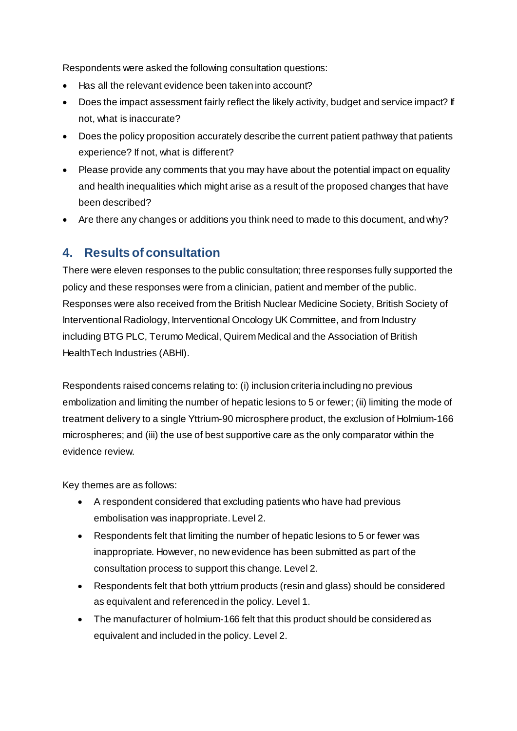Respondents were asked the following consultation questions:

- Has all the relevant evidence been taken into account?
- Does the impact assessment fairly reflect the likely activity, budget and service impact? If not, what is inaccurate?
- Does the policy proposition accurately describe the current patient pathway that patients experience? If not, what is different?
- Please provide any comments that you may have about the potential impact on equality and health inequalities which might arise as a result of the proposed changes that have been described?
- Are there any changes or additions you think need to made to this document, and why?

### **4. Results of consultation**

There were eleven responses to the public consultation; three responses fully supported the policy and these responses were from a clinician, patient and member of the public. Responses were also received from the British Nuclear Medicine Society, British Society of Interventional Radiology, Interventional Oncology UK Committee, and from Industry including BTG PLC, Terumo Medical, Quirem Medical and the Association of British HealthTech Industries (ABHI).

Respondents raised concerns relating to: (i) inclusion criteria including no previous embolization and limiting the number of hepatic lesions to 5 or fewer; (ii) limiting the mode of treatment delivery to a single Yttrium-90 microsphere product, the exclusion of Holmium-166 microspheres; and (iii) the use of best supportive care as the only comparator within the evidence review.

Key themes are as follows:

- A respondent considered that excluding patients who have had previous embolisation was inappropriate. Level 2.
- Respondents felt that limiting the number of hepatic lesions to 5 or fewer was inappropriate. However, no new evidence has been submitted as part of the consultation process to support this change. Level 2.
- Respondents felt that both yttrium products (resin and glass) should be considered as equivalent and referenced in the policy. Level 1.
- The manufacturer of holmium-166 felt that this product should be considered as equivalent and included in the policy. Level 2.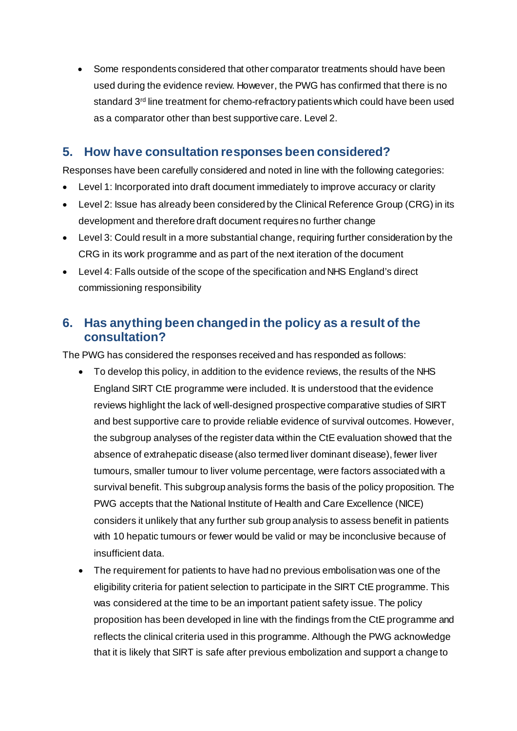• Some respondents considered that other comparator treatments should have been used during the evidence review. However, the PWG has confirmed that there is no standard 3<sup>rd</sup> line treatment for chemo-refractory patients which could have been used as a comparator other than best supportive care. Level 2.

### **5. How have consultation responses been considered?**

Responses have been carefully considered and noted in line with the following categories:

- Level 1: Incorporated into draft document immediately to improve accuracy or clarity
- Level 2: Issue has already been considered by the Clinical Reference Group (CRG) in its development and therefore draft document requires no further change
- Level 3: Could result in a more substantial change, requiring further consideration by the CRG in its work programme and as part of the next iteration of the document
- Level 4: Falls outside of the scope of the specification and NHS England's direct commissioning responsibility

### **6. Has anything been changed in the policy as a result of the consultation?**

The PWG has considered the responses received and has responded as follows:

- To develop this policy, in addition to the evidence reviews, the results of the NHS England SIRT CtE programme were included. It is understood that the evidence reviews highlight the lack of well-designed prospective comparative studies of SIRT and best supportive care to provide reliable evidence of survival outcomes. However, the subgroup analyses of the register data within the CtE evaluation showed that the absence of extrahepatic disease (also termed liver dominant disease), fewer liver tumours, smaller tumour to liver volume percentage, were factors associated with a survival benefit. This subgroup analysis forms the basis of the policy proposition. The PWG accepts that the National Institute of Health and Care Excellence (NICE) considers it unlikely that any further sub group analysis to assess benefit in patients with 10 hepatic tumours or fewer would be valid or may be inconclusive because of insufficient data.
- The requirement for patients to have had no previous embolisation was one of the eligibility criteria for patient selection to participate in the SIRT CtE programme. This was considered at the time to be an important patient safety issue. The policy proposition has been developed in line with the findings from the CtE programme and reflects the clinical criteria used in this programme. Although the PWG acknowledge that it is likely that SIRT is safe after previous embolization and support a change to